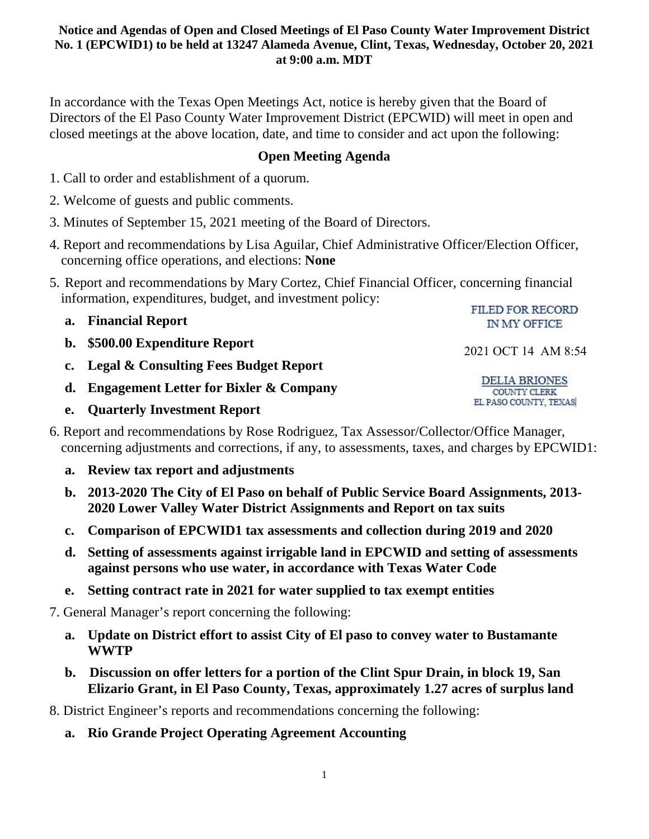In accordance with the Texas Open Meetings Act, notice is hereby given that the Board of Directors of the El Paso County Water Improvement District (EPCWID) will meet in open and closed meetings at the above location, date, and time to consider and act upon the following:

## **Open Meeting Agenda**

- 1. Call to order and establishment of a quorum.
- 2. Welcome of guests and public comments.
- 3. Minutes of September 15, 2021 meeting of the Board of Directors.
- 4. Report and recommendations by Lisa Aguilar, Chief Administrative Officer/Election Officer, concerning office operations, and elections: **None**
- 5. Report and recommendations by Mary Cortez, Chief Financial Officer, concerning financial information, expenditures, budget, and investment policy:
	- **a. Financial Report**
	- **b. \$500.00 Expenditure Report**
	- **c. Legal & Consulting Fees Budget Report**
	- **d. Engagement Letter for Bixler & Company**
	- **e. Quarterly Investment Report**
- 6. Report and recommendations by Rose Rodriguez, Tax Assessor/Collector/Office Manager, concerning adjustments and corrections, if any, to assessments, taxes, and charges by EPCWID1:
	- **a. Review tax report and adjustments**
	- **b. 2013-2020 The City of El Paso on behalf of Public Service Board Assignments, 2013- 2020 Lower Valley Water District Assignments and Report on tax suits**
	- **c. Comparison of EPCWID1 tax assessments and collection during 2019 and 2020**
	- **d. Setting of assessments against irrigable land in EPCWID and setting of assessments against persons who use water, in accordance with Texas Water Code**
	- **e. Setting contract rate in 2021 for water supplied to tax exempt entities**

7. General Manager's report concerning the following:

- **a. Update on District effort to assist City of El paso to convey water to Bustamante WWTP**
- **b. Discussion on offer letters for a portion of the Clint Spur Drain, in block 19, San Elizario Grant, in El Paso County, Texas, approximately 1.27 acres of surplus land**

8. District Engineer's reports and recommendations concerning the following:

**a. Rio Grande Project Operating Agreement Accounting**

**FILED FOR RECORD IN MY OFFICE** 

2021 OCT 14 AM 8:54

DELIA BRIONES COUNTY CLERK EL PASO COUNTY, TEXAS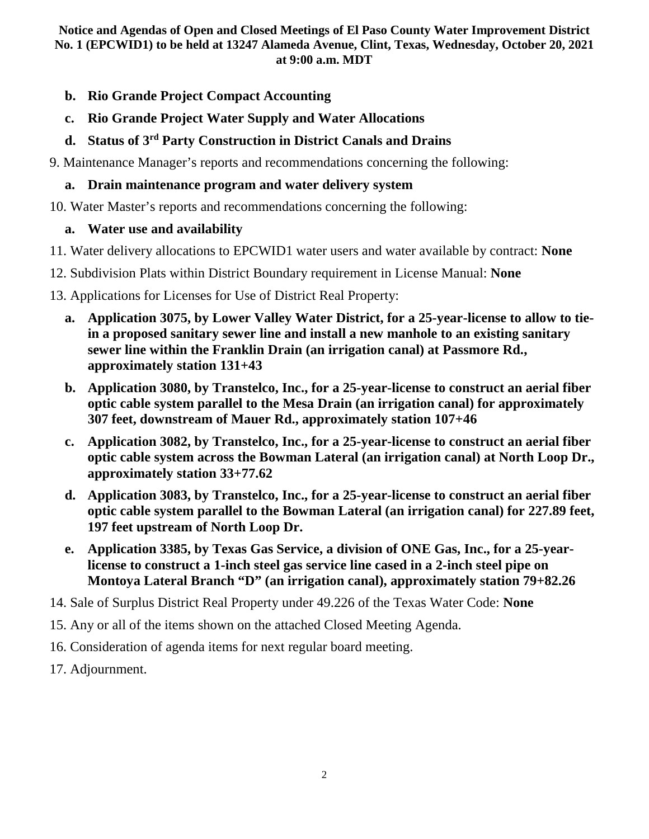- **b. Rio Grande Project Compact Accounting**
- **c. Rio Grande Project Water Supply and Water Allocations**

# **d. Status of 3rd Party Construction in District Canals and Drains**

9. Maintenance Manager's reports and recommendations concerning the following:

## **a. Drain maintenance program and water delivery system**

10. Water Master's reports and recommendations concerning the following:

# **a. Water use and availability**

- 11. Water delivery allocations to EPCWID1 water users and water available by contract: **None**
- 12. Subdivision Plats within District Boundary requirement in License Manual: **None**
- 13. Applications for Licenses for Use of District Real Property:
	- **a. Application 3075, by Lower Valley Water District, for a 25-year-license to allow to tiein a proposed sanitary sewer line and install a new manhole to an existing sanitary sewer line within the Franklin Drain (an irrigation canal) at Passmore Rd., approximately station 131+43**
	- **b. Application 3080, by Transtelco, Inc., for a 25-year-license to construct an aerial fiber optic cable system parallel to the Mesa Drain (an irrigation canal) for approximately 307 feet, downstream of Mauer Rd., approximately station 107+46**
	- **c. Application 3082, by Transtelco, Inc., for a 25-year-license to construct an aerial fiber optic cable system across the Bowman Lateral (an irrigation canal) at North Loop Dr., approximately station 33+77.62**
	- **d. Application 3083, by Transtelco, Inc., for a 25-year-license to construct an aerial fiber optic cable system parallel to the Bowman Lateral (an irrigation canal) for 227.89 feet, 197 feet upstream of North Loop Dr.**
	- **e. Application 3385, by Texas Gas Service, a division of ONE Gas, Inc., for a 25-yearlicense to construct a 1-inch steel gas service line cased in a 2-inch steel pipe on Montoya Lateral Branch "D" (an irrigation canal), approximately station 79+82.26**
- 14. Sale of Surplus District Real Property under 49.226 of the Texas Water Code: **None**
- 15. Any or all of the items shown on the attached Closed Meeting Agenda.
- 16. Consideration of agenda items for next regular board meeting.
- 17. Adjournment.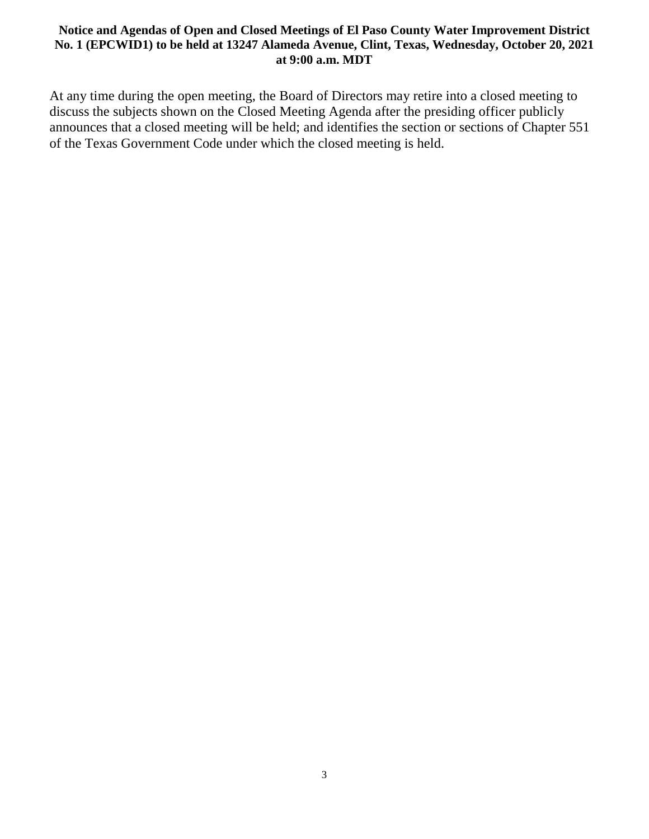At any time during the open meeting, the Board of Directors may retire into a closed meeting to discuss the subjects shown on the Closed Meeting Agenda after the presiding officer publicly announces that a closed meeting will be held; and identifies the section or sections of Chapter 551 of the Texas Government Code under which the closed meeting is held.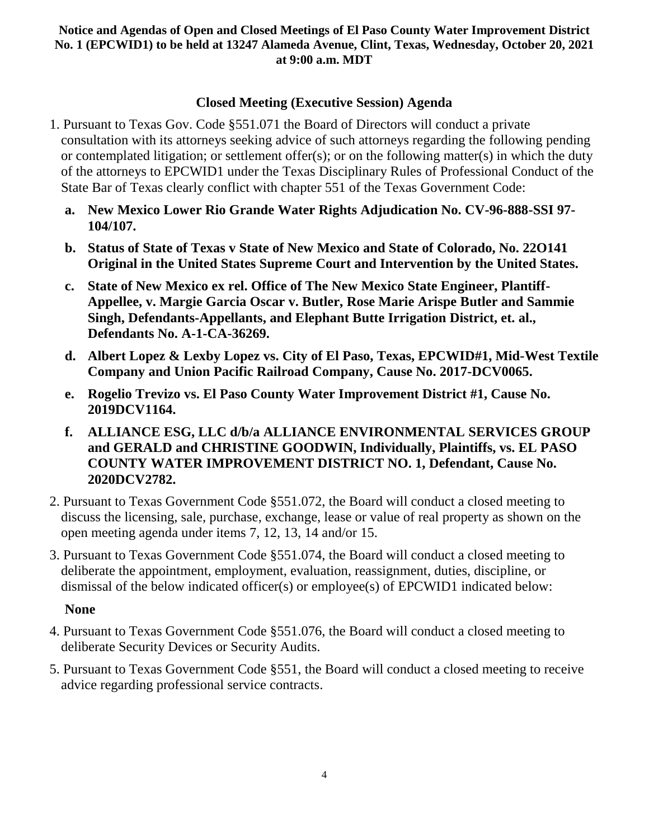# **Closed Meeting (Executive Session) Agenda**

- 1. Pursuant to Texas Gov. Code §551.071 the Board of Directors will conduct a private consultation with its attorneys seeking advice of such attorneys regarding the following pending or contemplated litigation; or settlement offer(s); or on the following matter(s) in which the duty of the attorneys to EPCWID1 under the Texas Disciplinary Rules of Professional Conduct of the State Bar of Texas clearly conflict with chapter 551 of the Texas Government Code:
	- **a. New Mexico Lower Rio Grande Water Rights Adjudication No. CV-96-888-SSI 97- 104/107.**
	- **b. Status of State of Texas v State of New Mexico and State of Colorado, No. 22O141 Original in the United States Supreme Court and Intervention by the United States.**
	- **c. State of New Mexico ex rel. Office of The New Mexico State Engineer, Plantiff-Appellee, v. Margie Garcia Oscar v. Butler, Rose Marie Arispe Butler and Sammie Singh, Defendants-Appellants, and Elephant Butte Irrigation District, et. al., Defendants No. A-1-CA-36269.**
	- **d. Albert Lopez & Lexby Lopez vs. City of El Paso, Texas, EPCWID#1, Mid-West Textile Company and Union Pacific Railroad Company, Cause No. 2017-DCV0065.**
	- **e. Rogelio Trevizo vs. El Paso County Water Improvement District #1, Cause No. 2019DCV1164.**
	- **f. ALLIANCE ESG, LLC d/b/a ALLIANCE ENVIRONMENTAL SERVICES GROUP and GERALD and CHRISTINE GOODWIN, Individually, Plaintiffs, vs. EL PASO COUNTY WATER IMPROVEMENT DISTRICT NO. 1, Defendant, Cause No. 2020DCV2782.**
- 2. Pursuant to Texas Government Code §551.072, the Board will conduct a closed meeting to discuss the licensing, sale, purchase, exchange, lease or value of real property as shown on the open meeting agenda under items 7, 12, 13, 14 and/or 15.
- 3. Pursuant to Texas Government Code §551.074, the Board will conduct a closed meeting to deliberate the appointment, employment, evaluation, reassignment, duties, discipline, or dismissal of the below indicated officer(s) or employee(s) of EPCWID1 indicated below:

### **None**

- 4. Pursuant to Texas Government Code §551.076, the Board will conduct a closed meeting to deliberate Security Devices or Security Audits.
- 5. Pursuant to Texas Government Code §551, the Board will conduct a closed meeting to receive advice regarding professional service contracts.